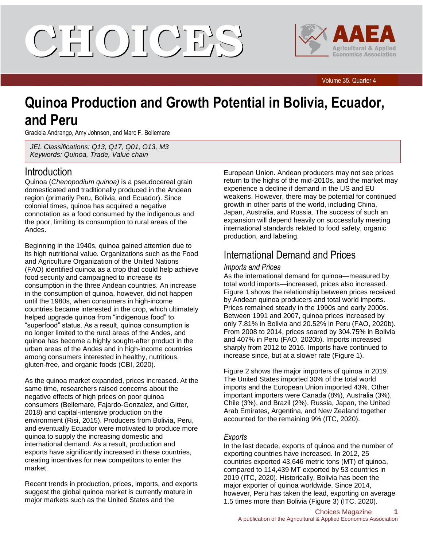# CIELOILCIE'S



#### Volume 35, Quarter 4

## **Quinoa Production and Growth Potential in Bolivia, Ecuador, and Peru**

Graciela Andrango, Amy Johnson, and Marc F. Bellemare

*JEL Classifications: Q13, Q17, Q01, O13, M3 Keywords: Quinoa, Trade, Value chain*

#### Introduction

Quinoa (*Chenopodium quinoa)* is a pseudocereal grain domesticated and traditionally produced in the Andean region (primarily Peru, Bolivia, and Ecuador). Since colonial times, quinoa has acquired a negative connotation as a food consumed by the indigenous and the poor, limiting its consumption to rural areas of the Andes.

Beginning in the 1940s, quinoa gained attention due to its high nutritional value. Organizations such as the Food and Agriculture Organization of the United Nations (FAO) identified quinoa as a crop that could help achieve food security and campaigned to increase its consumption in the three Andean countries. An increase in the consumption of quinoa, however, did not happen until the 1980s, when consumers in high-income countries became interested in the crop, which ultimately helped upgrade quinoa from "indigenous food" to "superfood" status. As a result, quinoa consumption is no longer limited to the rural areas of the Andes, and quinoa has become a highly sought-after product in the urban areas of the Andes and in high-income countries among consumers interested in healthy, nutritious, gluten-free, and organic foods (CBI, 2020).

As the quinoa market expanded, prices increased. At the same time, researchers raised concerns about the negative effects of high prices on poor quinoa consumers (Bellemare, Fajardo-Gonzalez, and Gitter, 2018) and capital-intensive production on the environment (Risi, 2015). Producers from Bolivia, Peru, and eventually Ecuador were motivated to produce more quinoa to supply the increasing domestic and international demand. As a result, production and exports have significantly increased in these countries, creating incentives for new competitors to enter the market.

Recent trends in production, prices, imports, and exports suggest the global quinoa market is currently mature in major markets such as the United States and the

European Union. Andean producers may not see prices return to the highs of the mid-2010s, and the market may experience a decline if demand in the US and EU weakens. However, there may be potential for continued growth in other parts of the world, including China, Japan, Australia, and Russia. The success of such an expansion will depend heavily on successfully meeting international standards related to food safety, organic production, and labeling.

## International Demand and Prices

#### *Imports and Prices*

As the international demand for quinoa—measured by total world imports—increased, prices also increased. Figure 1 shows the relationship between prices received by Andean quinoa producers and total world imports. Prices remained steady in the 1990s and early 2000s. Between 1991 and 2007, quinoa prices increased by only 7.81% in Bolivia and 20.52% in Peru (FAO, 2020b). From 2008 to 2014, prices soared by 304.75% in Bolivia and 407% in Peru (FAO, 2020b). Imports increased sharply from 2012 to 2016. Imports have continued to increase since, but at a slower rate (Figure 1).

Figure 2 shows the major importers of quinoa in 2019. The United States imported 30% of the total world imports and the European Union imported 43%. Other important importers were Canada (8%), Australia (3%), Chile (3%), and Brazil (2%). Russia, Japan, the United Arab Emirates, Argentina, and New Zealand together accounted for the remaining 9% (ITC, 2020).

#### *Exports*

In the last decade, exports of quinoa and the number of exporting countries have increased. In 2012, 25 countries exported 43,646 metric tons (MT) of quinoa, compared to 114,439 MT exported by 53 countries in 2019 (ITC, 2020). Historically, Bolivia has been the major exporter of quinoa worldwide. Since 2014, however, Peru has taken the lead, exporting on average 1.5 times more than Bolivia (Figure 3) (ITC, 2020).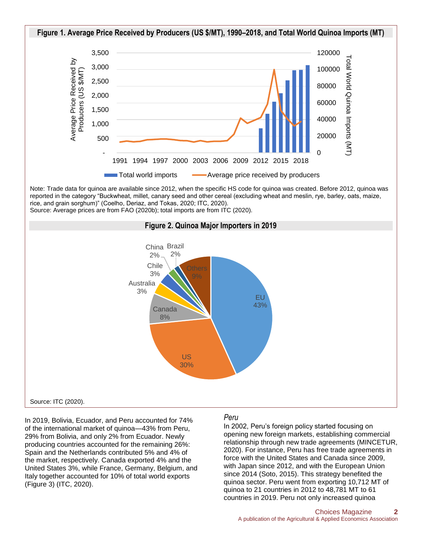

Note: Trade data for quinoa are available since 2012, when the specific HS code for quinoa was created. Before 2012, quinoa was reported in the category "Buckwheat, millet, canary seed and other cereal (excluding wheat and meslin, rye, barley, oats, maize, rice, and grain sorghum)" (Coelho, Deriaz, and Tokas, 2020; ITC, 2020). Source: Average prices are from FAO (2020b); total imports are from ITC (2020).



In 2019, Bolivia, Ecuador, and Peru accounted for 74% of the international market of quinoa—43% from Peru, 29% from Bolivia, and only 2% from Ecuador. Newly producing countries accounted for the remaining 26%: Spain and the Netherlands contributed 5% and 4% of the market, respectively. Canada exported 4% and the United States 3%, while France, Germany, Belgium, and Italy together accounted for 10% of total world exports (Figure 3) (ITC, 2020).

#### *Peru*

In 2002, Peru's foreign policy started focusing on opening new foreign markets, establishing commercial relationship through new trade agreements (MINCETUR, 2020). For instance, Peru has free trade agreements in force with the United States and Canada since 2009, with Japan since 2012, and with the European Union since 2014 (Soto, 2015). This strategy benefited the quinoa sector. Peru went from exporting 10,712 MT of quinoa to 21 countries in 2012 to 48,781 MT to 61 countries in 2019. Peru not only increased quinoa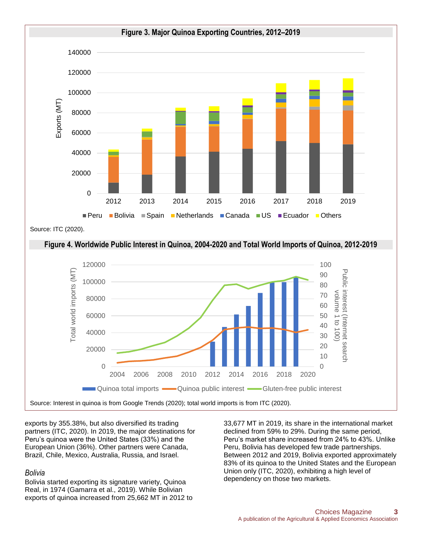

Source: ITC (2020).



exports by 355.38%, but also diversified its trading partners (ITC, 2020). In 2019, the major destinations for Peru's quinoa were the United States (33%) and the European Union (36%). Other partners were Canada, Brazil, Chile, Mexico, Australia, Russia, and Israel.

#### *Bolivia*

Bolivia started exporting its signature variety, Quinoa Real, in 1974 (Gamarra et al., 2019). While Bolivian exports of quinoa increased from 25,662 MT in 2012 to 33,677 MT in 2019, its share in the international market declined from 59% to 29%. During the same period, Peru's market share increased from 24% to 43%. Unlike Peru, Bolivia has developed few trade partnerships. Between 2012 and 2019, Bolivia exported approximately 83% of its quinoa to the United States and the European Union only (ITC, 2020), exhibiting a high level of dependency on those two markets.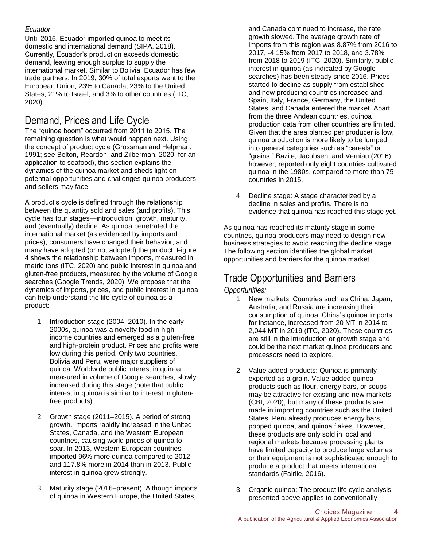#### *Ecuador*

Until 2016, Ecuador imported quinoa to meet its domestic and international demand (SIPA, 2018). Currently, Ecuador's production exceeds domestic demand, leaving enough surplus to supply the international market. Similar to Bolivia, Ecuador has few trade partners. In 2019, 30% of total exports went to the European Union, 23% to Canada, 23% to the United States, 21% to Israel, and 3% to other countries (ITC, 2020).

## Demand, Prices and Life Cycle

The "quinoa boom" occurred from 2011 to 2015. The remaining question is what would happen next. Using the concept of product cycle (Grossman and Helpman, 1991; see Belton, Reardon, and Zilberman, 2020, for an application to seafood), this section explains the dynamics of the quinoa market and sheds light on potential opportunities and challenges quinoa producers and sellers may face.

A product's cycle is defined through the relationship between the quantity sold and sales (and profits). This cycle has four stages—introduction, growth, maturity, and (eventually) decline. As quinoa penetrated the international market (as evidenced by imports and prices), consumers have changed their behavior, and many have adopted (or not adopted) the product. Figure 4 shows the relationship between imports, measured in metric tons (ITC, 2020) and public interest in quinoa and gluten-free products, measured by the volume of Google searches (Google Trends, 2020). We propose that the dynamics of imports, prices, and public interest in quinoa can help understand the life cycle of quinoa as a product:

- 1. Introduction stage (2004–2010). In the early 2000s, quinoa was a novelty food in highincome countries and emerged as a gluten-free and high-protein product. Prices and profits were low during this period. Only two countries, Bolivia and Peru, were major suppliers of quinoa. Worldwide public interest in quinoa, measured in volume of Google searches, slowly increased during this stage (note that public interest in quinoa is similar to interest in glutenfree products).
- 2. Growth stage (2011–2015). A period of strong growth. Imports rapidly increased in the United States, Canada, and the Western European countries, causing world prices of quinoa to soar. In 2013, Western European countries imported 96% more quinoa compared to 2012 and 117.8% more in 2014 than in 2013. Public interest in quinoa grew strongly.
- 3. Maturity stage (2016–present). Although imports of quinoa in Western Europe, the United States,

and Canada continued to increase, the rate growth slowed. The average growth rate of imports from this region was 8.87% from 2016 to 2017, -4.15% from 2017 to 2018, and 3.78% from 2018 to 2019 (ITC, 2020). Similarly, public interest in quinoa (as indicated by Google searches) has been steady since 2016. Prices started to decline as supply from established and new producing countries increased and Spain, Italy, France, Germany, the United States, and Canada entered the market. Apart from the three Andean countries, quinoa production data from other countries are limited. Given that the area planted per producer is low, quinoa production is more likely to be lumped into general categories such as "cereals" or "grains." Bazile, Jacobsen, and Verniau (2016), however, reported only eight countries cultivated quinoa in the 1980s, compared to more than 75 countries in 2015.

4. Decline stage: A stage characterized by a decline in sales and profits. There is no evidence that quinoa has reached this stage yet.

As quinoa has reached its maturity stage in some countries, quinoa producers may need to design new business strategies to avoid reaching the decline stage. The following section identifies the global market opportunities and barriers for the quinoa market.

## Trade Opportunities and Barriers

#### *Opportunities:*

- 1. New markets: Countries such as China, Japan, Australia, and Russia are increasing their consumption of quinoa. China's quinoa imports, for instance, increased from 20 MT in 2014 to 2,044 MT in 2019 (ITC, 2020). These countries are still in the introduction or growth stage and could be the next market quinoa producers and processors need to explore.
- 2. Value added products: Quinoa is primarily exported as a grain. Value-added quinoa products such as flour, energy bars, or soups may be attractive for existing and new markets (CBI, 2020), but many of these products are made in importing countries such as the United States. Peru already produces energy bars, popped quinoa, and quinoa flakes. However, these products are only sold in local and regional markets because processing plants have limited capacity to produce large volumes or their equipment is not sophisticated enough to produce a product that meets international standards (Fairlie, 2016).
- 3. Organic quinoa: The product life cycle analysis presented above applies to conventionally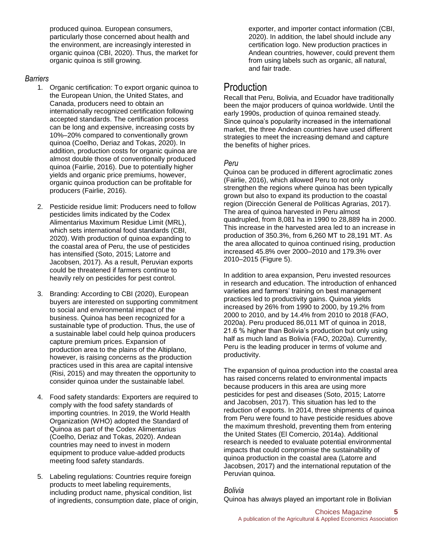produced quinoa. European consumers, particularly those concerned about health and the environment, are increasingly interested in organic quinoa (CBI, 2020). Thus, the market for organic quinoa is still growing.

#### *Barriers*

- 1. Organic certification: To export organic quinoa to the European Union, the United States, and Canada, producers need to obtain an internationally recognized certification following accepted standards. The certification process can be long and expensive, increasing costs by 10%–20% compared to conventionally grown quinoa (Coelho, Deriaz and Tokas, 2020). In addition, production costs for organic quinoa are almost double those of conventionally produced quinoa (Fairlie, 2016). Due to potentially higher yields and organic price premiums, however, organic quinoa production can be profitable for producers (Fairlie, 2016).
- 2. Pesticide residue limit: Producers need to follow pesticides limits indicated by the Codex Alimentarius Maximum Residue Limit (MRL), which sets international food standards (CBI, 2020). With production of quinoa expanding to the coastal area of Peru, the use of pesticides has intensified (Soto, 2015; Latorre and Jacobsen, 2017). As a result, Peruvian exports could be threatened if farmers continue to heavily rely on pesticides for pest control.
- 3. Branding: According to CBI (2020), European buyers are interested on supporting commitment to social and environmental impact of the business. Quinoa has been recognized for a sustainable type of production. Thus, the use of a sustainable label could help quinoa producers capture premium prices. Expansion of production area to the plains of the Altiplano, however, is raising concerns as the production practices used in this area are capital intensive (Risi, 2015) and may threaten the opportunity to consider quinoa under the sustainable label.
- 4. Food safety standards: Exporters are required to comply with the food safety standards of importing countries. In 2019, the World Health Organization (WHO) adopted the Standard of Quinoa as part of the Codex Alimentarius (Coelho, Deriaz and Tokas, 2020). Andean countries may need to invest in modern equipment to produce value-added products meeting food safety standards.
- 5. Labeling regulations: Countries require foreign products to meet labeling requirements, including product name, physical condition, list of ingredients, consumption date, place of origin,

exporter, and importer contact information (CBI, 2020). In addition, the label should include any certification logo. New production practices in Andean countries, however, could prevent them from using labels such as organic, all natural, and fair trade.

## Production

Recall that Peru, Bolivia, and Ecuador have traditionally been the major producers of quinoa worldwide. Until the early 1990s, production of quinoa remained steady. Since quinoa's popularity increased in the international market, the three Andean countries have used different strategies to meet the increasing demand and capture the benefits of higher prices.

#### *Peru*

Quinoa can be produced in different agroclimatic zones (Fairlie, 2016), which allowed Peru to not only strengthen the regions where quinoa has been typically grown but also to expand its production to the coastal region (Dirección General de Políticas Agrarias, 2017). The area of quinoa harvested in Peru almost quadrupled, from 8,081 ha in 1990 to 28,889 ha in 2000. This increase in the harvested area led to an increase in production of 350.3%, from 6,260 MT to 28,191 MT. As the area allocated to quinoa continued rising, production increased 45.8% over 2000–2010 and 179.3% over 2010–2015 (Figure 5).

In addition to area expansion, Peru invested resources in research and education. The introduction of enhanced varieties and farmers' training on best management practices led to productivity gains. Quinoa yields increased by 26% from 1990 to 2000, by 19.2% from 2000 to 2010, and by 14.4% from 2010 to 2018 (FAO, 2020a). Peru produced 86,011 MT of quinoa in 2018, 21.6 % higher than Bolivia's production but only using half as much land as Bolivia (FAO, 2020a). Currently, Peru is the leading producer in terms of volume and productivity.

The expansion of quinoa production into the coastal area has raised concerns related to environmental impacts because producers in this area are using more pesticides for pest and diseases (Soto, 2015; Latorre and Jacobsen, 2017). This situation has led to the reduction of exports. In 2014, three shipments of quinoa from Peru were found to have pesticide residues above the maximum threshold, preventing them from entering the United States (El Comercio, 2014a). Additional research is needed to evaluate potential environmental impacts that could compromise the sustainability of quinoa production in the coastal area (Latorre and Jacobsen, 2017) and the international reputation of the Peruvian quinoa.

#### *Bolivia*

Quinoa has always played an important role in Bolivian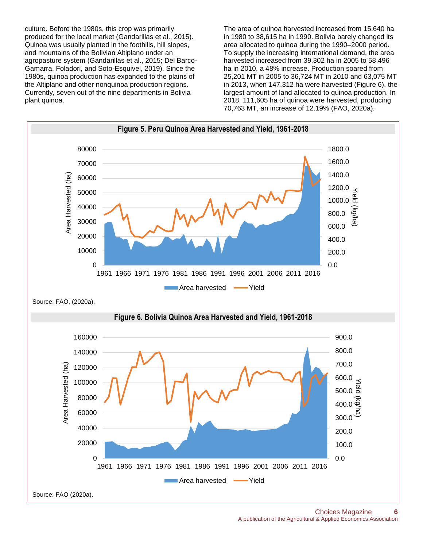culture. Before the 1980s, this crop was primarily produced for the local market (Gandarillas et al., 2015). Quinoa was usually planted in the foothills, hill slopes, and mountains of the Bolivian Altiplano under an agropasture system (Gandarillas et al., 2015; Del Barco-Gamarra, Foladori, and Soto-Esquivel, 2019). Since the 1980s, quinoa production has expanded to the plains of the Altiplano and other nonquinoa production regions. Currently, seven out of the nine departments in Bolivia plant quinoa.

The area of quinoa harvested increased from 15,640 ha in 1980 to 38,615 ha in 1990. Bolivia barely changed its area allocated to quinoa during the 1990–2000 period. To supply the increasing international demand, the area harvested increased from 39,302 ha in 2005 to 58,496 ha in 2010, a 48% increase. Production soared from 25,201 MT in 2005 to 36,724 MT in 2010 and 63,075 MT in 2013, when 147,312 ha were harvested (Figure 6), the largest amount of land allocated to quinoa production. In 2018, 111,605 ha of quinoa were harvested, producing 70,763 MT, an increase of 12.19% (FAO, 2020a).

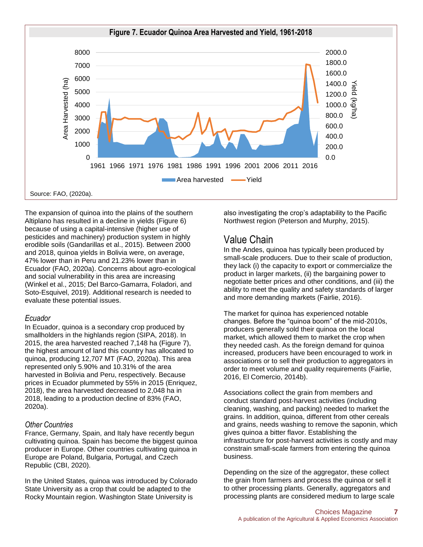

The expansion of quinoa into the plains of the southern Altiplano has resulted in a decline in yields (Figure 6) because of using a capital-intensive (higher use of pesticides and machinery) production system in highly erodible soils (Gandarillas et al., 2015). Between 2000 and 2018, quinoa yields in Bolivia were, on average, 47% lower than in Peru and 21.23% lower than in Ecuador (FAO, 2020a). Concerns about agro-ecological and social vulnerability in this area are increasing (Winkel et al., 2015; Del Barco-Gamarra, Foladori, and Soto-Esquivel, 2019). Additional research is needed to evaluate these potential issues.

#### *Ecuador*

In Ecuador, quinoa is a secondary crop produced by smallholders in the highlands region (SIPA, 2018). In 2015, the area harvested reached 7,148 ha (Figure 7), the highest amount of land this country has allocated to quinoa, producing 12,707 MT (FAO, 2020a). This area represented only 5.90% and 10.31% of the area harvested in Bolivia and Peru, respectively. Because prices in Ecuador plummeted by 55% in 2015 (Enriquez, 2018), the area harvested decreased to 2,048 ha in 2018, leading to a production decline of 83% (FAO, 2020a).

#### *Other Countries*

France, Germany, Spain, and Italy have recently begun cultivating quinoa. Spain has become the biggest quinoa producer in Europe. Other countries cultivating quinoa in Europe are Poland, Bulgaria, Portugal, and Czech Republic (CBI, 2020).

In the United States, quinoa was introduced by Colorado State University as a crop that could be adapted to the Rocky Mountain region. Washington State University is

also investigating the crop's adaptability to the Pacific Northwest region (Peterson and Murphy, 2015).

### Value Chain

In the Andes, quinoa has typically been produced by small-scale producers. Due to their scale of production, they lack (i) the capacity to export or commercialize the product in larger markets, (ii) the bargaining power to negotiate better prices and other conditions, and (iii) the ability to meet the quality and safety standards of larger and more demanding markets (Fairlie, 2016).

The market for quinoa has experienced notable changes. Before the "quinoa boom" of the mid-2010s, producers generally sold their quinoa on the local market, which allowed them to market the crop when they needed cash. As the foreign demand for quinoa increased, producers have been encouraged to work in associations or to sell their production to aggregators in order to meet volume and quality requirements (Fairlie, 2016, El Comercio, 2014b).

Associations collect the grain from members and conduct standard post-harvest activities (including cleaning, washing, and packing) needed to market the grains. In addition, quinoa, different from other cereals and grains, needs washing to remove the saponin, which gives quinoa a bitter flavor. Establishing the infrastructure for post-harvest activities is costly and may constrain small-scale farmers from entering the quinoa business.

Depending on the size of the aggregator, these collect the grain from farmers and process the quinoa or sell it to other processing plants. Generally, aggregators and processing plants are considered medium to large scale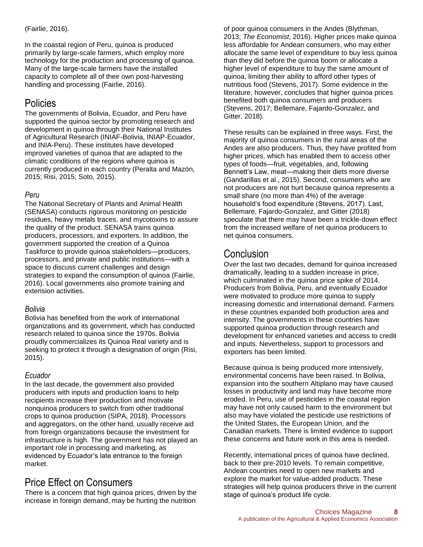#### (Fairlie, 2016).

In the coastal region of Peru, quinoa is produced primarily by large-scale farmers, which employ more technology for the production and processing of quinoa. Many of the large-scale farmers have the installed capacity to complete all of their own post-harvesting handling and processing (Fairlie, 2016).

## **Policies**

The governments of Bolivia, Ecuador, and Peru have supported the quinoa sector by promoting research and development in quinoa through their National Institutes of Agricultural Research (INIAF-Bolivia, INIAP-Ecuador, and INIA-Peru). These institutes have developed improved varieties of quinoa that are adapted to the climatic conditions of the regions where quinoa is currently produced in each country (Peralta and Mazón, 2015; Risi, 2015; Soto, 2015).

#### *Peru*

The National Secretary of Plants and Animal Health (SENASA) conducts rigorous monitoring on pesticide residues, heavy metals traces, and mycotoxins to assure the quality of the product. SENASA trains quinoa producers, processors, and exporters. In addition, the government supported the creation of a Quinoa Taskforce to provide quinoa stakeholders—producers, processors, and private and public institutions—with a space to discuss current challenges and design strategies to expand the consumption of quinoa (Fairlie, 2016). Local governments also promote training and extension activities.

#### *Bolivia*

Bolivia has benefited from the work of international organizations and its government, which has conducted research related to quinoa since the 1970s. Bolivia proudly commercializes its Quinoa Real variety and is seeking to protect it through a designation of origin (Risi, 2015).

#### *Ecuador*

In the last decade, the government also provided producers with inputs and production loans to help recipients increase their production and motivate nonquinoa producers to switch from other traditional crops to quinoa production (SIPA, 2018). Processors and aggregators, on the other hand, usually receive aid from foreign organizations because the investment for infrastructure is high. The government has not played an important role in processing and marketing, as evidenced by Ecuador's late entrance to the foreign market.

## Price Effect on Consumers

There is a concern that high quinoa prices, driven by the increase in foreign demand, may be hurting the nutrition of poor quinoa consumers in the Andes (Blythman, 2013; *The Economist*, 2016). Higher prices make quinoa less affordable for Andean consumers, who may either allocate the same level of expenditure to buy less quinoa than they did before the quinoa boom or allocate a higher level of expenditure to buy the same amount of quinoa, limiting their ability to afford other types of nutritious food (Stevens, 2017). Some evidence in the literature, however, concludes that higher quinoa prices benefited both quinoa consumers and producers (Stevens, 2017; Bellemare, Fajardo-Gonzalez, and Gitter, 2018).

These results can be explained in three ways. First, the majority of quinoa consumers in the rural areas of the Andes are also producers. Thus, they have profited from higher prices, which has enabled them to access other types of foods—fruit, vegetables, and, following Bennett's Law, meat—making their diets more diverse (Gandarillas et al., 2015). Second, consumers who are not producers are not hurt because quinoa represents a small share (no more than 4%) of the average household's food expenditure (Stevens, 2017). Last, Bellemare, Fajardo-Gonzalez, and Gitter (2018) speculate that there may have been a trickle-down effect from the increased welfare of net quinoa producers to net quinoa consumers.

## Conclusion

Over the last two decades, demand for quinoa increased dramatically, leading to a sudden increase in price, which culminated in the quinoa price spike of 2014. Producers from Bolivia, Peru, and eventually Ecuador were motivated to produce more quinoa to supply increasing domestic and international demand. Farmers in these countries expanded both production area and intensity. The governments in these countries have supported quinoa production through research and development for enhanced varieties and access to credit and inputs. Nevertheless, support to processors and exporters has been limited.

Because quinoa is being produced more intensively, environmental concerns have been raised. In Bolivia, expansion into the southern Altiplano may have caused losses in productivity and land may have become more eroded. In Peru, use of pesticides in the coastal region may have not only caused harm to the environment but also may have violated the pesticide use restrictions of the United States, the European Union, and the Canadian markets. There is limited evidence to support these concerns and future work in this area is needed.

Recently, international prices of quinoa have declined, back to their pre-2010 levels. To remain competitive, Andean countries need to open new markets and explore the market for value-added products. These strategies will help quinoa producers thrive in the current stage of quinoa's product life cycle.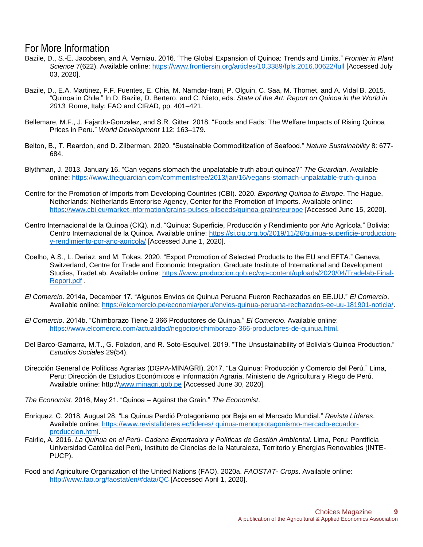#### For More Information

- Bazile, D., S.-E. Jacobsen, and A. Verniau. 2016. "The Global Expansion of Quinoa: Trends and Limits." *Frontier in Plant Science* 7(622). Available online:<https://www.frontiersin.org/articles/10.3389/fpls.2016.00622/full> [Accessed July 03, 2020].
- Bazile, D., E.A. Martinez, F.F. Fuentes, E. Chia, M. Namdar-Irani, P. Olguin, C. Saa, M. Thomet, and A. Vidal B. 2015. "Quinoa in Chile." In D. Bazile, D. Bertero, and C. Nieto, eds. *State of the Art: Report on Quinoa in the World in 2013*. Rome, Italy: FAO and CIRAD, pp. 401–421.
- Bellemare, M.F., J. Fajardo-Gonzalez, and S.R. Gitter. 2018. "Foods and Fads: The Welfare Impacts of Rising Quinoa Prices in Peru." *World Development* 112: 163–179.
- Belton, B., T. Reardon, and D. Zilberman. 2020. "Sustainable Commoditization of Seafood." *Nature Sustainability* 8: 677- 684.
- Blythman, J. 2013, January 16. "Can vegans stomach the unpalatable truth about quinoa?" *The Guardian*. Available online:<https://www.theguardian.com/commentisfree/2013/jan/16/vegans-stomach-unpalatable-truth-quinoa>
- Centre for the Promotion of Imports from Developing Countries (CBI). 2020. *Exporting Quinoa to Europe*. The Hague, Netherlands: Netherlands Enterprise Agency, Center for the Promotion of Imports. Available online: <https://www.cbi.eu/market-information/grains-pulses-oilseeds/quinoa-grains/europe> [Accessed June 15, 2020].
- Centro Internacional de la Quinoa (CIQ). n.d. "Quinua: Superficie, Producción y Rendimiento por Año Agrícola." Bolivia: Centro Internacional de la Quinoa. Available online: [https://si.ciq.org.bo/2019/11/26/quinua-superficie-produccion](https://si.ciq.org.bo/2019/11/26/quinua-superficie-produccion-y-rendimiento-por-ano-agricola/)[y-rendimiento-por-ano-agricola/](https://si.ciq.org.bo/2019/11/26/quinua-superficie-produccion-y-rendimiento-por-ano-agricola/) [Accessed June 1, 2020].
- Coelho, A.S., L. Deriaz, and M. Tokas. 2020. "Export Promotion of Selected Products to the EU and EFTA." Geneva, Switzerland, Centre for Trade and Economic Integration, Graduate Institute of International and Development Studies, TradeLab. Available online: [https://www.produccion.gob.ec/wp-content/uploads/2020/04/Tradelab-Final-](https://www.produccion.gob.ec/wp-content/uploads/2020/04/Tradelab-Final-Report.pdf)[Report.pdf](https://www.produccion.gob.ec/wp-content/uploads/2020/04/Tradelab-Final-Report.pdf) .
- *El Comercio*. 2014a, December 17. "Algunos Envíos de Quinua Peruana Fueron Rechazados en EE.UU." *El Comercio*. Available online: [https://elcomercio.pe/economia/peru/envios-quinua-peruana-rechazados-ee-uu-181901-noticia/.](https://elcomercio.pe/economia/peru/envios-quinua-peruana-rechazados-ee-uu-181901-noticia/)
- *El Comercio*. 2014b. "Chimborazo Tiene 2 366 Productores de Quinua." *El Comercio*. Available online: [https://www.elcomercio.com/actualidad/negocios/chimborazo-366-productores-de-quinua.html.](https://www.elcomercio.com/actualidad/negocios/chimborazo-366-productores-de-quinua.html)
- Del Barco-Gamarra, M.T., G. Foladori, and R. Soto-Esquivel. 2019. "The Unsustainability of Bolivia's Quinoa Production." *Estudios Sociales* 29(54).
- Dirección General de Políticas Agrarias (DGPA-MINAGRI). 2017. "La Quinua: Producción y Comercio del Perú." Lima, Peru: Dirección de Estudios Económicos e Información Agraria, Ministerio de Agricultura y Riego de Perú. Available online: http:/[/www.minagri.gob.pe](http://www.minagri.gob.pe/) [Accessed June 30, 2020].

*The Economist*. 2016, May 21. "Quinoa – Against the Grain." *The Economist*.

- Enriquez, C. 2018, August 28. "La Quinua Perdió Protagonismo por Baja en el Mercado Mundial." *Revista Líderes*. Available online: [https://www.revistalideres.ec/lideres/ quinua-menorprotagonismo-mercado-ecuador](https://www.revistalideres.ec/lideres/quinua-menorprotagonismo-mercado-ecuador-produccion.html)[produccion.html.](https://www.revistalideres.ec/lideres/quinua-menorprotagonismo-mercado-ecuador-produccion.html)
- Fairlie, A. 2016. *La Quinua en el Perú- Cadena Exportadora y Políticas de Gestión Ambiental.* Lima, Peru: Pontificia Universidad Católica del Perú, Instituto de Ciencias de la Naturaleza, Territorio y Energías Renovables (INTE-PUCP).
- Food and Agriculture Organization of the United Nations (FAO). 2020a. *FAOSTAT- Crops*. Available online: <http://www.fao.org/faostat/en/#data/QC> [Accessed April 1, 2020].